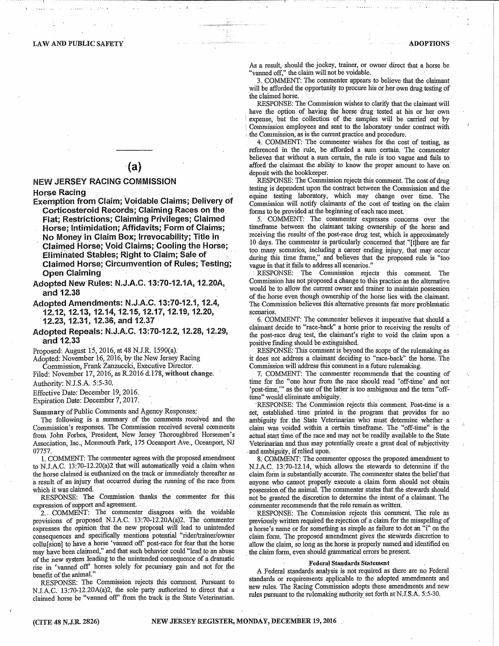# **LAW AND PUBLIC SAFETY**

 $(a)$ 

# **NEW JERSEY RACING COMMISSION**

**Horse Racing** 

- Exemption from Claim; Voidable Claims; Delivery of Corticosteroid Records; Claiming Races on the Flat; Restrictions; Claiming Privileges; Claimed
	- Horse; Intimidation; Affidavits; Form of Claims; No Money in Claim Box; Irrevocability; Title in **Claimed Horse; Void Claims; Cooling the Horse;** Eliminated Stables; Right to Claim; Sale of **Claimed Horse; Circumvention of Rules; Testing; Open Claiming**
- Adopted New Rules: N.J.A.C. 13:70-12.1A, 12.20A, and 12.38
- Adopted Amendments: N.J.A.C. 13:70-12.1, 12.4, 12.12, 12.13, 12.14, 12.15, 12.17, 12.19, 12.20, 12.23, 12.31, 12.36, and 12.37
- Adopted Repeals: N.J.A.C. 13:70-12.2, 12.28, 12.29, and 12.33

Proposed: August 15, 2016, at 48 N.J.R. 1590(a).

Adopted: November 16, 2016, by the New Jersey Racing Commission, Frank Zanzuccki, Executive Director.

Filed: November 17, 2016, as R.2016 d.178, without change.

Authority: N.J.S.A. 5:5-30.

Effective Date: December 19, 2016. Expiration Date: December 7, 2017.

Summary of Public Comments and Agency Responses:

The following is a summary of the comments received and the Commission's responses. The Commission received several comments from John Forbes, President, New Jersey Thoroughbred Horsemen's Association, Inc., Monmouth Park, 175 Oceanport Ave., Oceanport, NJ 07757.

1. COMMENT: The commenter agrees with the proposed amendment to N.J.A.C. 13:70-12.20(a)2 that will automatically void a claim when the horse claimed is euthanized on the track or immediately thereafter as a result of an injury that occurred during the running of the race from which it was claimed.

RESPONSE: The Commission thanks the commenter for this expression of support and agreement.

2. COMMENT: The commenter disagrees with the voidable provisions of proposed N.J.A.C. 13:70-12.20A(a)2. The commenter expresses the opinion that the new proposal will lead to unintended consequences and specifically mentions potential "rider/trainer/owner collu[sion] to have a horse 'vanned off' post-race for fear that the horse may have been claimed," and that such behavior could "lead to an abuse of the new system leading to the unintended consequence of a dramatic rise in 'vanned off' horses solely for pecuniary gain and not for the benefit of the animal."

RESPONSE: The Commission rejects this comment. Pursuant to N.J.A.C. 13:70-12.20A(a)2, the sole party authorized to direct that a claimed horse be "vanned off" from the track is the State Veterinarian. As a result, should the jockey, trainer, or owner direct that a horse be vanned off," the claim will not be voidable.

3. COMMENT: The commenter appears to believe that the claimant will be afforded the opportunity to procure his or her own drug testing of the claimed horse.

RESPONSE: The Commission wishes to clarify that the claimant will have the option of having the horse drug tested at his or her own expense, but the collection of the samples will be carried out by Commission employees and sent to the laboratory under contract with the Commission, as is the current practice and procedure.

4. COMMENT: The commenter wishes for the cost of testing, as referenced in the rule, be afforded a sum certain. The commenter believes that without a sum certain, the rule is too vague and fails to afford the claimant the ability to know the proper amount to have on deposit with the bookkeeper.

RESPONSE: The Commission rejects this comment. The cost of drug testing is dependent upon the contract between the Commission and the equine testing laboratory, which may change over time. The Commission will notify claimants of the cost of testing on the claim forms to be provided at the beginning of each race meet.

5. COMMENT: The commenter expresses concerns over the timeframe between the claimant taking ownership of the horse and receiving the results of the post-race drug test, which is approximately 10 days. The commenter is particularly concerned that "[t]here are far too many scenarios, including a career ending injury, that may occur during this time frame," and believes that the proposed rule is "too vague in that it fails to address all scenarios."

RESPONSE: The Commission rejects this comment. The Commission has not proposed a change to this practice as the alternative would be to allow the current owner and trainer to maintain possession of the horse even though ownership of the horse lies with the claimant. The Commission believes this alternative presents far more problematic scenarios.

6. COMMENT: The commenter believes it imperative that should a claimant decide to "race-back" a horse prior to receiving the results of the post-race drug test, the claimant's right to void the claim upon a positive finding should be extinguished.

RESPONSE: This comment is beyond the scope of the rulemaking as it does not address a claimant deciding to "race-back" the horse. The Commission will address this comment in a future rulemaking.

7. COMMENT: The commenter recommends that the counting of time for the "one hour from the race should read 'off-time' and not 'post-time," as the use of the latter is too ambiguous and the term "offtime" would eliminate ambiguity.

RESPONSE: The Commission rejects this comment. Post-time is a set, established time printed in the program that provides for no ambiguity for the State Veterinarian who must determine whether a claim was voided within a certain timeframe. The "off-time" is the actual start time of the race and may not be readily available to the State Veterinarian and thus may potentially create a great deal of subjectivity and ambiguity, if relied upon.

8. COMMENT: The commenter opposes the proposed amendment to N.J.A.C. 13:70-12.14, which allows the stewards to determine if the claim form is substantially accurate. The commenter states the belief that anyone who cannot properly execute a claim form should not obtain possession of the animal. The commenter states that the stewards should not be granted the discretion to determine the intent of a claimant. The commenter recommends that the rule remain as written.

RESPONSE: The Commission rejects this comment. The rule as previously written required the rejection of a claim for the misspelling of a horse's name or for something as simple as failure to dot an "i" on the claim form. The proposed amendment gives the stewards discretion to allow the claim, so long as the horse is properly named and identified on the claim form, even should grammatical errors be present.

### **Federal Standards Statement**

A Federal standards analysis is not required as there are no Federal standards or requirements applicable to the adopted amendments and new rules. The Racing Commission adopts these amendments and new rules pursuant to the rulemaking authority set forth at N.J.S.A. 5:5-30.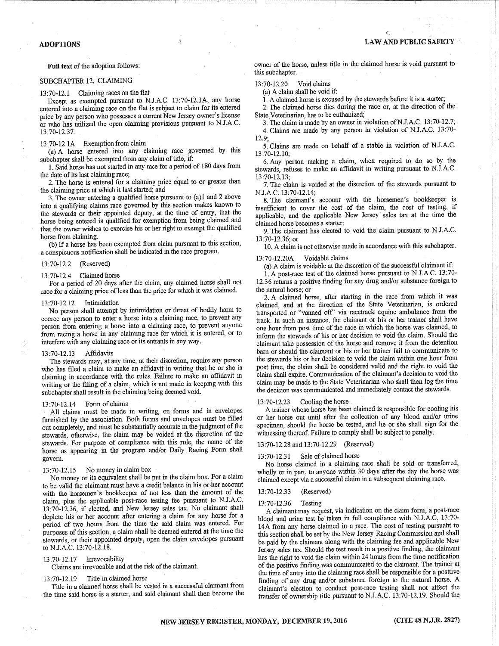Ó

## **ADOPTIONS**

### Full text of the adoption follows:

# SUBCHAPTER 12. CLAIMING

### 13:70-12.1 Claiming races on the flat

Except as exempted pursuant to N.J.A.C. 13:70-12.1A, any horse entered into a claiming race on the flat is subject to claim for its entered price by any person who possesses a current New Jersey owner's license or who has utilized the open claiming provisions pursuant to N.J.A.C. 13:70-12.37.

## 13:70-12.1A Exemption from claim

(a) A horse entered into any claiming race governed by this subchapter shall be exempted from any claim of title, if:

1. Said horse has not started in any race for a period of 180 days from the date of its last claiming race;

2. The horse is entered for a claiming price equal to or greater than the claiming price at which it last started; and

3. The owner entering a qualified horse pursuant to (a)1 and 2 above into a qualifying claims race governed by this section makes known to the stewards or their appointed deputy, at the time of entry, that the horse being entered is qualified for exemption from being claimed and that the owner wishes to exercise his or her right to exempt the qualified horse from claiming.

(b) If a horse has been exempted from claim pursuant to this section, a conspicuous notification shall be indicated in the race program.

13:70-12.2 (Reserved)

### $13:70-12.4$  Claimed horse

For a period of 20 days after the claim, any claimed horse shall not race for a claiming price of less than the price for which it was claimed.

#### Intimidation 13:70-12.12

No person shall attempt by intimidation or threat of bodily harm to coerce any person to enter a horse into a claiming race, to prevent any person from entering a horse into a claiming race, to prevent anyone from racing a horse in any claiming race for which it is entered, or to interfere with any claiming race or its entrants in any way.

#### 13:70-12.13 Affidavits

The stewards may, at any time, at their discretion, require any person who has filed a claim to make an affidavit in writing that he or she is claiming in accordance with the rules. Failure to make an affidavit in writing or the filing of a claim, which is not made in keeping with this subchapter shall result in the claiming being deemed void.

#### 13:70-12.14 Form of claims

All claims must be made in writing, on forms and in envelopes furnished by the association. Both forms and envelopes must be filled out completely, and must be substantially accurate in the judgment of the stewards, otherwise, the claim may be voided at the discretion of the stewards. For purpose of compliance with this rule, the name of the horse as appearing in the program and/or Daily Racing Form shall govern.

#### 13:70-12.15 No money in claim box

No money or its equivalent shall be put in the claim box. For a claim to be valid the claimant must have a credit balance in his or her account with the horsemen's bookkeeper of not less than the amount of the claim, plus the applicable post-race testing fee pursuant to N.J.A.C. 13:70-12.36, if elected, and New Jersey sales tax. No claimant shall deplete his or her account after entering a claim for any horse for a period of two hours from the time the said claim was entered. For purposes of this section, a claim shall be deemed entered at the time the stewards, or their appointed deputy, open the claim envelopes pursuant to N.J.A.C. 13:70-12.18.

### 13:70-12.17 Irrevocability

Claims are irrevocable and at the risk of the claimant.

Title in claimed horse 13:70-12.19

Title in a claimed horse shall be vested in a successful claimant from the time said horse is a starter, and said claimant shall then become the

owner of the horse, unless title in the claimed horse is void pursuant to this subchapter.

13:70-12.20 Void claims

(a) A claim shall be void if:

1. A claimed horse is excused by the stewards before it is a starter;

2. The claimed horse dies during the race or, at the direction of the State Veterinarian, has to be euthanized;

- 3. The claim is made by an owner in violation of N.J.A.C. 13:70-12.7; 4. Claims are made by any person in violation of N.J.A.C. 13:70-
- $12.9:$

5. Claims are made on behalf of a stable in violation of N.J.A.C.  $13:70-12.10;$ 

6. Any person making a claim, when required to do so by the stewards, refuses to make an affidavit in writing pursuant to N.J.A.C. 13:70-12.13:

7. The claim is voided at the discretion of the stewards pursuant to N.J.A.C. 13:70-12.14;

8. The claimant's account with the horsemen's bookkeeper is insufficient to cover the cost of the claim, the cost of testing, if applicable, and the applicable New Jersey sales tax at the time the claimed horse becomes a starter;

9. The claimant has elected to void the claim pursuant to N.J.A.C. 13:70-12.36; or

10. A claim is not otherwise made in accordance with this subchapter. Voidable claims 13:70-12.20A

(a) A claim is voidable at the discretion of the successful claimant if:

1. A post-race test of the claimed horse pursuant to N.J.A.C. 13:70-

12.36 returns a positive finding for any drug and/or substance foreign to the natural horse; or

2. A claimed horse, after starting in the race from which it was claimed, and at the direction of the State Veterinarian, is ordered transported or "vanned off" via racetrack equine ambulance from the track. In such an instance, the claimant or his or her trainer shall have one hour from post time of the race in which the horse was claimed, to inform the stewards of his or her decision to void the claim. Should the claimant take possession of the horse and remove it from the detention barn or should the claimant or his or her trainer fail to communicate to the stewards his or her decision to void the claim within one hour from post time, the claim shall be considered valid and the right to void the claim shall expire. Communication of the claimant's decision to void the claim may be made to the State Veterinarian who shall then log the time the decision was communicated and immediately contact the stewards.

#### Cooling the horse 13:70-12.23

A trainer whose horse has been claimed is responsible for cooling his or her horse out until after the collection of any blood and/or urine specimen, should the horse be tested, and he or she shall sign for the witnessing thereof. Failure to comply shall be subject to penalty.

# 13:70-12.28 and 13:70-12.29 (Reserved)

#### 13:70-12.31 Sale of claimed horse

No horse claimed in a claiming race shall be sold or transferred, wholly or in part, to anyone within 30 days after the day the horse was claimed except via a successful claim in a subsequent claiming race.

#### 13:70-12.33 (Reserved)

#### 13:70-12.36 Testing

A claimant may request, via indication on the claim form, a post-race blood and urine test be taken in full compliance with N.J.A.C, 13:70-14A from any horse claimed in a race. The cost of testing pursuant to this section shall be set by the New Jersey Racing Commission and shall be paid by the claimant along with the claiming fee and applicable New Jersey sales tax. Should the test result in a positive finding, the claimant has the right to void the claim within 24 hours from the time notification of the positive finding was communicated to the claimant. The trainer at the time of entry into the claiming race shall be responsible for a positive finding of any drug and/or substance foreign to the natural horse. A claimant's election to conduct post-race testing shall not affect the transfer of ownership title pursuant to N.J.A.C. 13:70-12.19. Should the